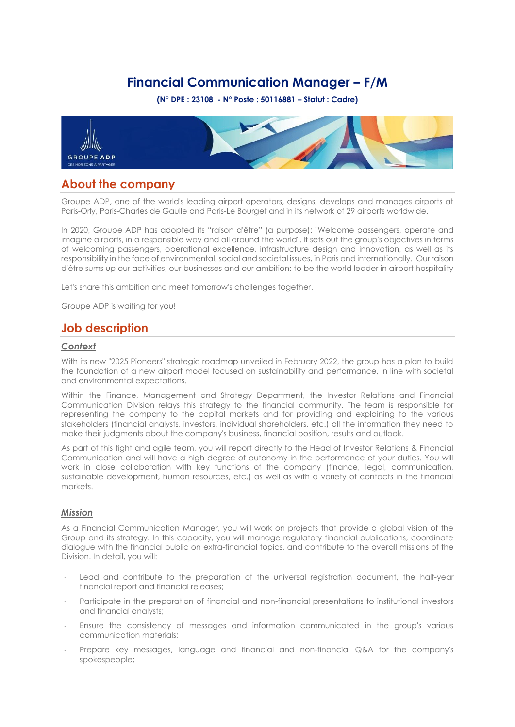# **Financial Communication Manager – F/M**

**(N° DPE : 23108 - N° Poste : 50116881 – Statut : Cadre)**



## **About the company**

Groupe ADP, one of the world's leading airport operators, designs, develops and manages airports at Paris-Orly, Paris-Charles de Gaulle and Paris-Le Bourget and in its network of 29 airports worldwide.

In 2020, Groupe ADP has adopted its "raison d'être" (a purpose): "Welcome passengers, operate and imagine airports, in a responsible way and all around the world". It sets out the group's objectives in terms of welcoming passengers, operational excellence, infrastructure design and innovation, as well as its responsibility in the face of environmental, social and societal issues, in Paris and internationally. Our raison d'être sums up our activities, our businesses and our ambition: to be the world leader in airport hospitality

Let's share this ambition and meet tomorrow's challenges together.

Groupe ADP is waiting for you!

# **Job description**

#### *Context*

With its new "2025 Pioneers" strategic roadmap unveiled in February 2022, the group has a plan to build the foundation of a new airport model focused on sustainability and performance, in line with societal and environmental expectations.

Within the Finance, Management and Strategy Department, the Investor Relations and Financial Communication Division relays this strategy to the financial community. The team is responsible for representing the company to the capital markets and for providing and explaining to the various stakeholders (financial analysts, investors, individual shareholders, etc.) all the information they need to make their judgments about the company's business, financial position, results and outlook.

As part of this tight and agile team, you will report directly to the Head of Investor Relations & Financial Communication and will have a high degree of autonomy in the performance of your duties. You will work in close collaboration with key functions of the company (finance, legal, communication, sustainable development, human resources, etc.) as well as with a variety of contacts in the financial markets.

### *Mission*

As a Financial Communication Manager, you will work on projects that provide a global vision of the Group and its strategy. In this capacity, you will manage regulatory financial publications, coordinate dialogue with the financial public on extra-financial topics, and contribute to the overall missions of the Division. In detail, you will:

- Lead and contribute to the preparation of the universal registration document, the half-year financial report and financial releases;
- Participate in the preparation of financial and non-financial presentations to institutional investors and financial analysts;
- Ensure the consistency of messages and information communicated in the group's various communication materials;
- Prepare key messages, language and financial and non-financial Q&A for the company's spokespeople;